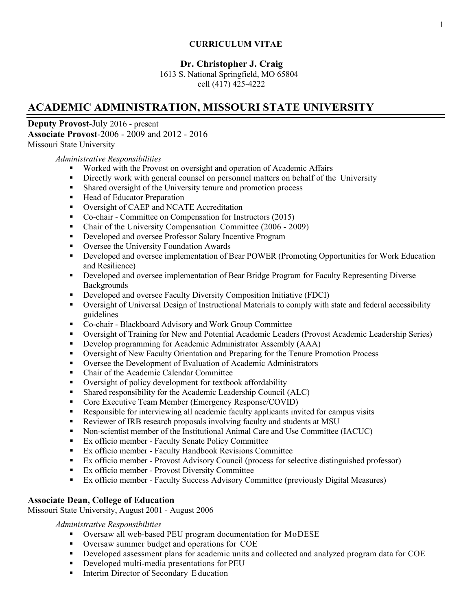### **CURRICULUM VITAE**

### **Dr. Christopher J. Craig**

1613 S. National Springfield, MO 65804 cell (417) 425-4222

## **ACADEMIC ADMINISTRATION, MISSOURI STATE UNIVERSITY**

**Deputy Provost**-July 2016 - present **Associate Provost**-2006 - 2009 and 2012 - 2016 Missouri State University

*Administrative Responsibilities*

- Worked with the Provost on oversight and operation of Academic Affairs
- Directly work with general counsel on personnel matters on behalf of the University
- **Shared oversight of the University tenure and promotion process**
- Head of Educator Preparation
- **Oversight of CAEP and NCATE Accreditation**
- Co-chair Committee on Compensation for Instructors (2015)
- Chair of the University Compensation Committee (2006 2009)
- Developed and oversee Professor Salary Incentive Program
- **•** Oversee the University Foundation Awards
- Developed and oversee implementation of Bear POWER (Promoting Opportunities for Work Education and Resilience)
- **•** Developed and oversee implementation of Bear Bridge Program for Faculty Representing Diverse Backgrounds
- **•** Developed and oversee Faculty Diversity Composition Initiative (FDCI)
- Oversight of Universal Design of Instructional Materials to comply with state and federal accessibility guidelines
- Co-chair Blackboard Advisory and Work Group Committee
- Oversight of Training for New and Potential Academic Leaders (Provost Academic Leadership Series)
- Develop programming for Academic Administrator Assembly (AAA)
- Oversight of New Faculty Orientation and Preparing for the Tenure Promotion Process
- Oversee the Development of Evaluation of Academic Administrators
- Chair of the Academic Calendar Committee
- Oversight of policy development for textbook affordability
- Shared responsibility for the Academic Leadership Council (ALC)
- Core Executive Team Member (Emergency Response/COVID)
- Responsible for interviewing all academic faculty applicants invited for campus visits
- Reviewer of IRB research proposals involving faculty and students at MSU
- Non-scientist member of the Institutional Animal Care and Use Committee (IACUC)
- Ex officio member Faculty Senate Policy Committee
- Ex officio member Faculty Handbook Revisions Committee
- Ex officio member Provost Advisory Council (process for selective distinguished professor)
- **Ex officio member Provost Diversity Committee**
- Ex officio member Faculty Success Advisory Committee (previously Digital Measures)

### **Associate Dean, College of Education**

Missouri State University, August 2001 - August 2006

#### *Administrative Responsibilities*

- Oversaw all web-based PEU program documentation for MoDESE
- Oversaw summer budget and operations for COE
- Developed assessment plans for academic units and collected and analyzed program data for COE
- Developed multi-media presentations for PEU
- **Interim Director of Secondary Education**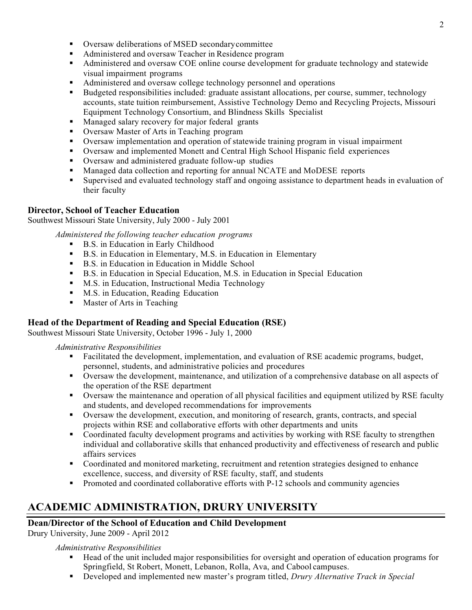- Oversaw deliberations of MSED secondarycommittee
- Administered and oversaw Teacher in Residence program
- Administered and oversaw COE online course development for graduate technology and statewide visual impairment programs
- Administered and oversaw college technology personnel and operations
- Budgeted responsibilities included: graduate assistant allocations, per course, summer, technology accounts, state tuition reimbursement, Assistive Technology Demo and Recycling Projects, Missouri Equipment Technology Consortium, and Blindness Skills Specialist
- **Managed salary recovery for major federal grants**
- Oversaw Master of Arts in Teaching program
- Oversaw implementation and operation of statewide training program in visual impairment
- Oversaw and implemented Monett and Central High School Hispanic field experiences
- Oversaw and administered graduate follow-up studies
- Managed data collection and reporting for annual NCATE and MoDESE reports
- Supervised and evaluated technology staff and ongoing assistance to department heads in evaluation of their faculty

### **Director, School of Teacher Education**

Southwest Missouri State University, July 2000 - July 2001

*Administered the following teacher education programs*

- B.S. in Education in Early Childhood
- B.S. in Education in Elementary, M.S. in Education in Elementary
- B.S. in Education in Education in Middle School
- B.S. in Education in Special Education, M.S. in Education in Special Education
- **M.S.** in Education, Instructional Media Technology
- **M.S.** in Education, Reading Education
- **Master of Arts in Teaching**

### **Head of the Department of Reading and Special Education (RSE)**

Southwest Missouri State University, October 1996 - July 1, 2000

#### *Administrative Responsibilities*

- Facilitated the development, implementation, and evaluation of RSE academic programs, budget, personnel, students, and administrative policies and procedures
- Oversaw the development, maintenance, and utilization of a comprehensive database on all aspects of the operation of the RSE department
- Oversaw the maintenance and operation of all physical facilities and equipment utilized by RSE faculty and students, and developed recommendations for improvements
- Oversaw the development, execution, and monitoring of research, grants, contracts, and special projects within RSE and collaborative efforts with other departments and units
- Coordinated faculty development programs and activities by working with RSE faculty to strengthen individual and collaborative skills that enhanced productivity and effectiveness of research and public affairs services
- Coordinated and monitored marketing, recruitment and retention strategies designed to enhance excellence, success, and diversity of RSE faculty, staff, and students
- **Promoted and coordinated collaborative efforts with P-12 schools and community agencies**

# **ACADEMIC ADMINISTRATION, DRURY UNIVERSITY**

### **Dean/Director of the School of Education and Child Development**

Drury University, June 2009 - April 2012

#### *Administrative Responsibilities*

- Head of the unit included major responsibilities for oversight and operation of education programs for Springfield, St Robert, Monett, Lebanon, Rolla, Ava, and Cabool campuses.
- Developed and implemented new master's program titled, *Drury Alternative Track in Special*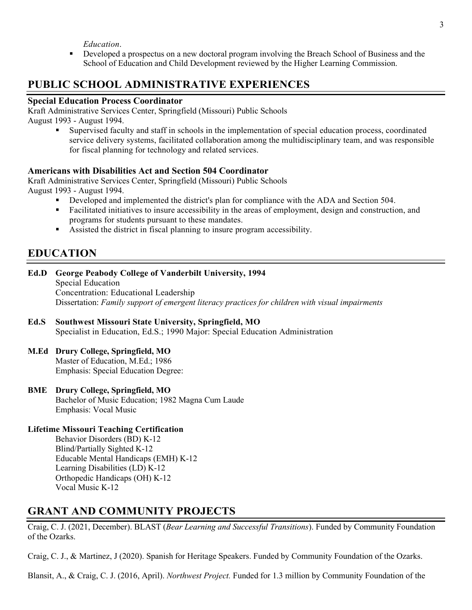*Education*.

**PEDEVELOPED A** prospectus on a new doctoral program involving the Breach School of Business and the School of Education and Child Development reviewed by the Higher Learning Commission.

## **PUBLIC SCHOOL ADMINISTRATIVE EXPERIENCES**

#### **Special Education Process Coordinator**

Kraft Administrative Services Center, Springfield (Missouri) Public Schools August 1993 - August 1994.

> Supervised faculty and staff in schools in the implementation of special education process, coordinated service delivery systems, facilitated collaboration among the multidisciplinary team, and was responsible for fiscal planning for technology and related services.

#### **Americans with Disabilities Act and Section 504 Coordinator**

Kraft Administrative Services Center, Springfield (Missouri) Public Schools August 1993 - August 1994.

- Developed and implemented the district's plan for compliance with the ADA and Section 504.
- Facilitated initiatives to insure accessibility in the areas of employment, design and construction, and programs for students pursuant to these mandates.
- Assisted the district in fiscal planning to insure program accessibility.

## **EDUCATION**

**Ed.D George Peabody College of Vanderbilt University, 1994** Special Education Concentration: Educational Leadership Dissertation: *Family support of emergent literacy practices for children with visual impairments*

#### **Ed.S Southwest Missouri State University, Springfield, MO** Specialist in Education, Ed.S.; 1990 Major: Special Education Administration

#### **M.Ed Drury College, Springfield, MO**

Master of Education, M.Ed.; 1986 Emphasis: Special Education Degree:

#### **BME Drury College, Springfield, MO**

Bachelor of Music Education; 1982 Magna Cum Laude Emphasis: Vocal Music

#### **Lifetime Missouri Teaching Certification**

Behavior Disorders (BD) K-12 Blind/Partially Sighted K-12 Educable Mental Handicaps (EMH) K-12 Learning Disabilities (LD) K-12 Orthopedic Handicaps (OH) K-12 Vocal Music K-12

### **GRANT AND COMMUNITY PROJECTS**

Craig, C. J. (2021, December). BLAST (*Bear Learning and Successful Transitions*). Funded by Community Foundation of the Ozarks.

Craig, C. J., & Martinez, J (2020). Spanish for Heritage Speakers. Funded by Community Foundation of the Ozarks.

Blansit, A., & Craig, C. J. (2016, April). *Northwest Project.* Funded for 1.3 million by Community Foundation of the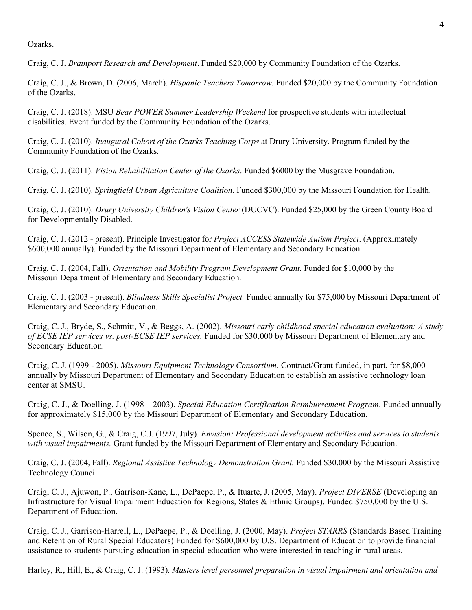Ozarks.

Craig, C. J. *Brainport Research and Development*. Funded \$20,000 by Community Foundation of the Ozarks.

Craig, C. J., & Brown, D. (2006, March). *Hispanic Teachers Tomorrow.* Funded \$20,000 by the Community Foundation of the Ozarks.

Craig, C. J. (2018). MSU *Bear POWER Summer Leadership Weekend* for prospective students with intellectual disabilities. Event funded by the Community Foundation of the Ozarks.

Craig, C. J. (2010). *Inaugural Cohort of the Ozarks Teaching Corps* at Drury University. Program funded by the Community Foundation of the Ozarks.

Craig, C. J. (2011). *Vision Rehabilitation Center of the Ozarks*. Funded \$6000 by the Musgrave Foundation.

Craig, C. J. (2010). *Springfield Urban Agriculture Coalition*. Funded \$300,000 by the Missouri Foundation for Health.

Craig, C. J. (2010). *Drury University Children's Vision Center* (DUCVC). Funded \$25,000 by the Green County Board for Developmentally Disabled.

Craig, C. J. (2012 - present). Principle Investigator for *Project ACCESS Statewide Autism Project*. (Approximately \$600,000 annually). Funded by the Missouri Department of Elementary and Secondary Education.

Craig, C. J. (2004, Fall). *Orientation and Mobility Program Development Grant.* Funded for \$10,000 by the Missouri Department of Elementary and Secondary Education.

Craig, C. J. (2003 - present). *Blindness Skills Specialist Project.* Funded annually for \$75,000 by Missouri Department of Elementary and Secondary Education.

Craig, C. J., Bryde, S., Schmitt, V., & Beggs, A. (2002). *Missouri early childhood special education evaluation: A study of ECSE IEP services vs. post-ECSE IEP services.* Funded for \$30,000 by Missouri Department of Elementary and Secondary Education.

Craig, C. J. (1999 - 2005). *Missouri Equipment Technology Consortium.* Contract/Grant funded, in part, for \$8,000 annually by Missouri Department of Elementary and Secondary Education to establish an assistive technology loan center at SMSU.

Craig, C. J., & Doelling, J. (1998 – 2003). *Special Education Certification Reimbursement Program*. Funded annually for approximately \$15,000 by the Missouri Department of Elementary and Secondary Education.

Spence, S., Wilson, G., & Craig, C.J. (1997, July). *Envision: Professional development activities and services to students with visual impairments.* Grant funded by the Missouri Department of Elementary and Secondary Education.

Craig, C. J. (2004, Fall). *Regional Assistive Technology Demonstration Grant.* Funded \$30,000 by the Missouri Assistive Technology Council.

Craig, C. J., Ajuwon, P., Garrison-Kane, L., DePaepe, P., & Ituarte, J. (2005, May). *Project DIVERSE* (Developing an Infrastructure for Visual Impairment Education for Regions, States & Ethnic Groups). Funded \$750,000 by the U.S. Department of Education.

Craig, C. J., Garrison-Harrell, L., DePaepe, P., & Doelling, J. (2000, May). *Project STARRS* (Standards Based Training and Retention of Rural Special Educators) Funded for \$600,000 by U.S. Department of Education to provide financial assistance to students pursuing education in special education who were interested in teaching in rural areas.

Harley, R., Hill, E., & Craig, C. J. (1993). *Masters level personnel preparation in visual impairment and orientation and*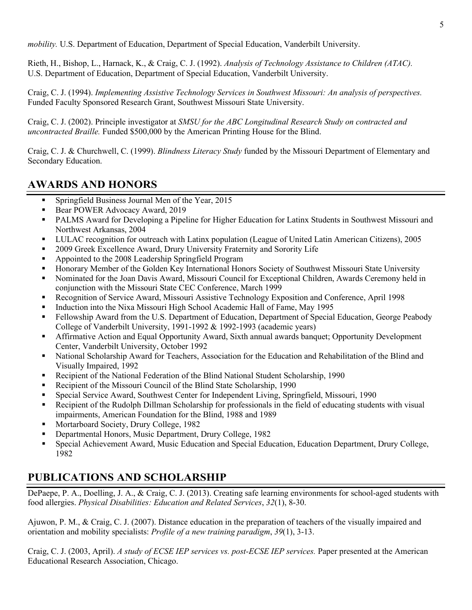*mobility.* U.S. Department of Education, Department of Special Education, Vanderbilt University.

Rieth, H., Bishop, L., Harnack, K., & Craig, C. J. (1992). *Analysis of Technology Assistance to Children (ATAC).* U.S. Department of Education, Department of Special Education, Vanderbilt University.

Craig, C. J. (1994). *Implementing Assistive Technology Services in Southwest Missouri: An analysis of perspectives.* Funded Faculty Sponsored Research Grant, Southwest Missouri State University.

Craig, C. J. (2002). Principle investigator at *SMSU for the ABC Longitudinal Research Study on contracted and uncontracted Braille.* Funded \$500,000 by the American Printing House for the Blind.

Craig, C. J. & Churchwell, C. (1999). *Blindness Literacy Study* funded by the Missouri Department of Elementary and Secondary Education.

## **AWARDS AND HONORS**

- **Springfield Business Journal Men of the Year, 2015**
- Bear POWER Advocacy Award, 2019
- PALMS Award for Developing a Pipeline for Higher Education for Latinx Students in Southwest Missouri and Northwest Arkansas, 2004
- LULAC recognition for outreach with Latinx population (League of United Latin American Citizens), 2005
- **2009 Greek Excellence Award, Drury University Fraternity and Sorority Life**
- Appointed to the 2008 Leadership Springfield Program
- Honorary Member of the Golden Key International Honors Society of Southwest Missouri State University
- Nominated for the Joan Davis Award, Missouri Council for Exceptional Children, Awards Ceremony held in conjunction with the Missouri State CEC Conference, March 1999
- Recognition of Service Award, Missouri Assistive Technology Exposition and Conference, April 1998
- Induction into the Nixa Missouri High School Academic Hall of Fame, May 1995
- Fellowship Award from the U.S. Department of Education, Department of Special Education, George Peabody College of Vanderbilt University, 1991-1992 & 1992-1993 (academic years)
- Affirmative Action and Equal Opportunity Award, Sixth annual awards banquet; Opportunity Development Center, Vanderbilt University, October 1992
- National Scholarship Award for Teachers, Association for the Education and Rehabilitation of the Blind and Visually Impaired, 1992
- Recipient of the National Federation of the Blind National Student Scholarship, 1990
- Recipient of the Missouri Council of the Blind State Scholarship, 1990
- Special Service Award, Southwest Center for Independent Living, Springfield, Missouri, 1990
- Recipient of the Rudolph Dillman Scholarship for professionals in the field of educating students with visual impairments, American Foundation for the Blind, 1988 and 1989
- Mortarboard Society, Drury College, 1982
- Departmental Honors, Music Department, Drury College, 1982
- Special Achievement Award, Music Education and Special Education, Education Department, Drury College, 1982

## **PUBLICATIONS AND SCHOLARSHIP**

DePaepe, P. A., Doelling, J. A., & Craig, C. J. (2013). Creating safe learning environments for school-aged students with food allergies. *Physical Disabilities: Education and Related Services*, *32*(1), 8-30.

Ajuwon, P. M., & Craig, C. J. (2007). Distance education in the preparation of teachers of the visually impaired and orientation and mobility specialists: *Profile of a new training paradigm*, *39*(1), 3-13.

Craig, C. J. (2003, April). *A study of ECSE IEP services vs. post-ECSE IEP services.* Paper presented at the American Educational Research Association, Chicago.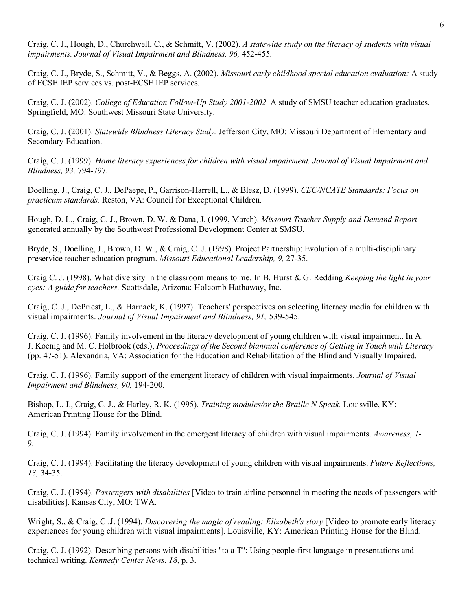Craig, C. J., Hough, D., Churchwell, C., & Schmitt, V. (2002). *A statewide study on the literacy of students with visual impairments. Journal of Visual Impairment and Blindness, 96,* 452-455*.*

Craig, C. J., Bryde, S., Schmitt, V., & Beggs, A. (2002). *Missouri early childhood special education evaluation:* A study of ECSE IEP services vs. post-ECSE IEP services*.*

Craig, C. J. (2002). *College of Education Follow-Up Study 2001-2002.* A study of SMSU teacher education graduates. Springfield, MO: Southwest Missouri State University.

Craig, C. J. (2001). *Statewide Blindness Literacy Study.* Jefferson City, MO: Missouri Department of Elementary and Secondary Education.

Craig, C. J. (1999). *Home literacy experiences for children with visual impairment. Journal of Visual Impairment and Blindness, 93,* 794-797.

Doelling, J., Craig, C. J., DePaepe, P., Garrison-Harrell, L., & Blesz, D. (1999). *CEC/NCATE Standards: Focus on practicum standards.* Reston, VA: Council for Exceptional Children.

Hough, D. L., Craig, C. J., Brown, D. W. & Dana, J. (1999, March). *Missouri Teacher Supply and Demand Report* generated annually by the Southwest Professional Development Center at SMSU.

Bryde, S., Doelling, J., Brown, D. W., & Craig, C. J. (1998). Project Partnership: Evolution of a multi-disciplinary preservice teacher education program. *Missouri Educational Leadership, 9,* 27-35.

Craig C. J. (1998). What diversity in the classroom means to me. In B. Hurst & G. Redding *Keeping the light in your eyes: A guide for teachers.* Scottsdale, Arizona: Holcomb Hathaway, Inc.

Craig, C. J., DePriest, L., & Harnack, K. (1997). Teachers' perspectives on selecting literacy media for children with visual impairments. *Journal of Visual Impairment and Blindness, 91,* 539-545.

Craig, C. J. (1996). Family involvement in the literacy development of young children with visual impairment. In A. J. Koenig and M. C. Holbrook (eds.), *Proceedings of the Second biannual conference of Getting in Touch with Literacy*  (pp. 47-51). Alexandria, VA: Association for the Education and Rehabilitation of the Blind and Visually Impaired.

Craig, C. J. (1996). Family support of the emergent literacy of children with visual impairments. *Journal of Visual Impairment and Blindness, 90,* 194-200.

Bishop, L. J., Craig, C. J., & Harley, R. K. (1995). *Training modules/or the Braille N Speak.* Louisville, KY: American Printing House for the Blind.

Craig, C. J. (1994). Family involvement in the emergent literacy of children with visual impairments. *Awareness,* 7- 9.

Craig, C. J. (1994). Facilitating the literacy development of young children with visual impairments. *Future Reflections, 13,* 34-35.

Craig, C. J. (1994). *Passengers with disabilities* [Video to train airline personnel in meeting the needs of passengers with disabilities]. Kansas City, MO: TWA.

Wright, S., & Craig, C .J. (1994). *Discovering the magic of reading: Elizabeth's story* [Video to promote early literacy experiences for young children with visual impairments]. Louisville, KY: American Printing House for the Blind.

Craig, C. J. (1992). Describing persons with disabilities "to a T": Using people-first language in presentations and technical writing. *Kennedy Center News*, *18*, p. 3.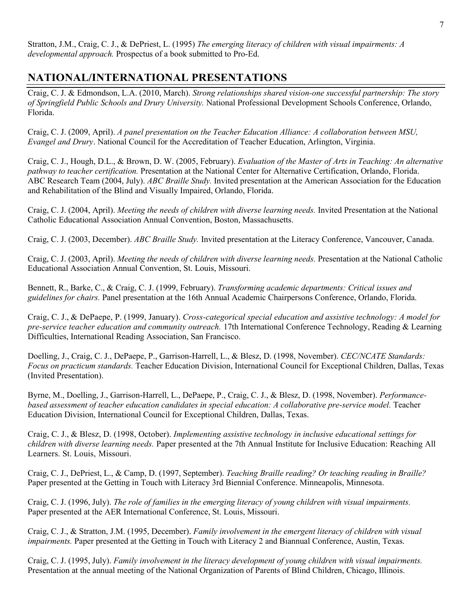Stratton, J.M., Craig, C. J., & DePriest, L. (1995) *The emerging literacy of children with visual impairments: A developmental approach.* Prospectus of a book submitted to Pro-Ed.

## **NATIONAL/INTERNATIONAL PRESENTATIONS**

Craig, C. J. & Edmondson, L.A. (2010, March). *Strong relationships shared vision-one successful partnership: The story of Springfield Public Schools and Drury University.* National Professional Development Schools Conference, Orlando, Florida.

Craig, C. J. (2009, April). *A panel presentation on the Teacher Education Alliance: A collaboration between MSU, Evangel and Drury*. National Council for the Accreditation of Teacher Education, Arlington, Virginia.

Craig, C. J., Hough, D.L., & Brown, D. W. (2005, February). *Evaluation of the Master of Arts in Teaching: An alternative pathway to teacher certification.* Presentation at the National Center for Alternative Certification, Orlando, Florida. ABC Research Team (2004, July). *ABC Braille Study.* Invited presentation at the American Association for the Education and Rehabilitation of the Blind and Visually Impaired, Orlando, Florida.

Craig, C. J. (2004, April). *Meeting the needs of children with diverse learning needs.* Invited Presentation at the National Catholic Educational Association Annual Convention, Boston, Massachusetts.

Craig, C. J. (2003, December). *ABC Braille Study.* Invited presentation at the Literacy Conference, Vancouver, Canada.

Craig, C. J. (2003, April). *Meeting the needs of children with diverse learning needs.* Presentation at the National Catholic Educational Association Annual Convention, St. Louis, Missouri.

Bennett, R., Barke, C., & Craig, C. J. (1999, February). *Transforming academic departments: Critical issues and guidelines for chairs.* Panel presentation at the 16th Annual Academic Chairpersons Conference, Orlando, Florida.

Craig, C. J., & DePaepe, P. (1999, January). *Cross-categorical special education and assistive technology: A model for pre-service teacher education and community outreach.* 17th International Conference Technology, Reading & Learning Difficulties, International Reading Association, San Francisco.

Doelling, J., Craig, C. J., DePaepe, P., Garrison-Harrell, L., & Blesz, D. (1998, November). *CEC/NCATE Standards: Focus on practicum standards.* Teacher Education Division, International Council for Exceptional Children, Dallas, Texas (Invited Presentation).

Byrne, M., Doelling, J., Garrison-Harrell, L., DePaepe, P., Craig, C. J., & Blesz, D. (1998, November). *Performancebased assessment of teacher education candidates in special education: A collaborative pre-service model.* Teacher Education Division, International Council for Exceptional Children, Dallas, Texas.

Craig, C. J., & Blesz, D. (1998, October). *Implementing assistive technology in inclusive educational settings for children with diverse learning needs.* Paper presented at the 7th Annual Institute for Inclusive Education: Reaching All Learners. St. Louis, Missouri.

Craig, C. J., DePriest, L., & Camp, D. (1997, September). *Teaching Braille reading? Or teaching reading in Braille?* Paper presented at the Getting in Touch with Literacy 3rd Biennial Conference. Minneapolis, Minnesota.

Craig, C. J. (1996, July). *The role of families in the emerging literacy of young children with visual impairments.* Paper presented at the AER International Conference, St. Louis, Missouri.

Craig, C. J., & Stratton, J.M. (1995, December). *Family involvement in the emergent literacy of children with visual impairments.* Paper presented at the Getting in Touch with Literacy 2 and Biannual Conference, Austin, Texas.

Craig, C. J. (1995, July). *Family involvement in the literacy development of young children with visual impairments.* Presentation at the annual meeting of the National Organization of Parents of Blind Children, Chicago, Illinois.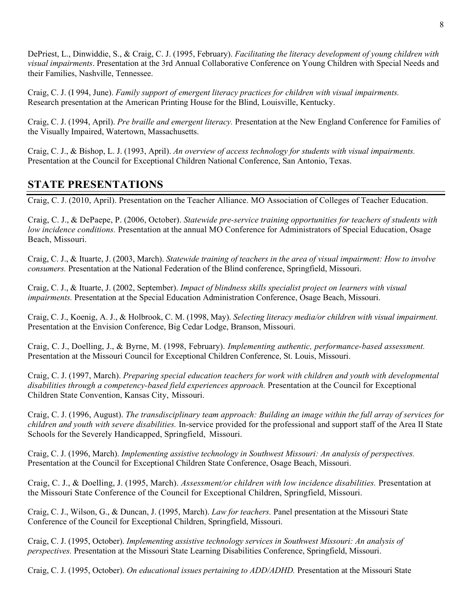DePriest, L., Dinwiddie, S., & Craig, C. J. (1995, February). *Facilitating the literacy development of young children with visual impairments*. Presentation at the 3rd Annual Collaborative Conference on Young Children with Special Needs and their Families, Nashville, Tennessee.

Craig, C. J. (I 994, June). *Family support of emergent literacy practices for children with visual impairments.* Research presentation at the American Printing House for the Blind, Louisville, Kentucky.

Craig, C. J. (1994, April). *Pre braille and emergent literacy.* Presentation at the New England Conference for Families of the Visually Impaired, Watertown, Massachusetts.

Craig, C. J., & Bishop, L. J. (1993, April). *An overview of access technology for students with visual impairments.* Presentation at the Council for Exceptional Children National Conference, San Antonio, Texas.

## **STATE PRESENTATIONS**

Craig, C. J. (2010, April). Presentation on the Teacher Alliance. MO Association of Colleges of Teacher Education.

Craig, C. J., & DePaepe, P. (2006, October). *Statewide pre-service training opportunities for teachers of students with low incidence conditions.* Presentation at the annual MO Conference for Administrators of Special Education, Osage Beach, Missouri.

Craig, C. J., & Ituarte, J. (2003, March). *Statewide training of teachers in the area of visual impairment: How to involve consumers.* Presentation at the National Federation of the Blind conference, Springfield, Missouri.

Craig, C. J., & Ituarte, J. (2002, September). *Impact of blindness skills specialist project on learners with visual impairments.* Presentation at the Special Education Administration Conference, Osage Beach, Missouri.

Craig, C. J., Koenig, A. J., & Holbrook, C. M. (1998, May). *Selecting literacy media/or children with visual impairment.*  Presentation at the Envision Conference, Big Cedar Lodge, Branson, Missouri.

Craig, C. J., Doelling, J., & Byrne, M. (1998, February). *Implementing authentic, performance-based assessment.* Presentation at the Missouri Council for Exceptional Children Conference, St. Louis, Missouri.

Craig, C. J. (1997, March). *Preparing special education teachers for work with children and youth with developmental disabilities through a competency-based field experiences approach.* Presentation at the Council for Exceptional Children State Convention, Kansas City, Missouri.

Craig, C. J. (1996, August). *The transdisciplinary team approach: Building an image within the full array of services for children and youth with severe disabilities.* In-service provided for the professional and support staff of the Area II State Schools for the Severely Handicapped, Springfield, Missouri.

Craig, C. J. (1996, March). *Implementing assistive technology in Southwest Missouri: An analysis of perspectives.* Presentation at the Council for Exceptional Children State Conference, Osage Beach, Missouri.

Craig, C. J., & Doelling, J. (1995, March). *Assessment/or children with low incidence disabilities.* Presentation at the Missouri State Conference of the Council for Exceptional Children, Springfield, Missouri.

Craig, C. J., Wilson, G., & Duncan, J. (1995, March). *Law for teachers.* Panel presentation at the Missouri State Conference of the Council for Exceptional Children, Springfield, Missouri.

Craig, C. J. (1995, October). *Implementing assistive technology services in Southwest Missouri: An analysis of perspectives.* Presentation at the Missouri State Learning Disabilities Conference, Springfield, Missouri.

Craig, C. J. (1995, October). *On educational issues pertaining to ADD/ADHD.* Presentation at the Missouri State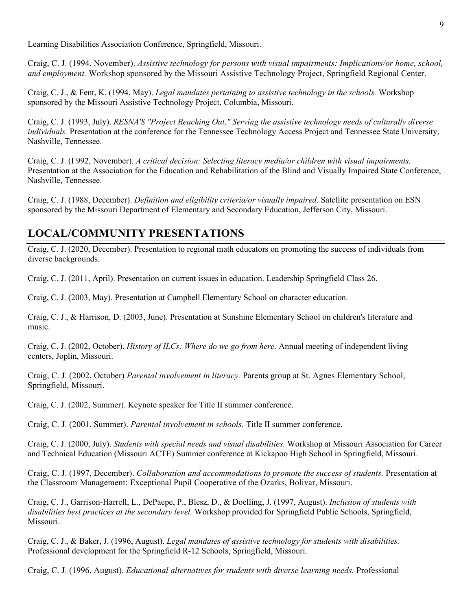Learning Disabilities Association Conference, Springfield, Missouri.

Craig, C. J. (1994, November). *Assistive technology for persons with visual impairments: Implications/or home, school, and employment.* Workshop sponsored by the Missouri Assistive Technology Project, Springfield Regional Center.

Craig, C. J., & Fent, K. (1994, May). *Legal mandates pertaining to assistive technology in the schools.* Workshop sponsored by the Missouri Assistive Technology Project, Columbia, Missouri.

Craig, C. J. (1993, July). *RESNA'S "Project Reaching Out," Serving the assistive technology needs of culturally diverse individuals.* Presentation at the conference for the Tennessee Technology Access Project and Tennessee State University, Nashville, Tennessee.

Craig, C. J. (I 992, November). *A critical decision: Selecting literacy media/or children with visual impairments.*  Presentation at the Association for the Education and Rehabilitation of the Blind and Visually Impaired State Conference, Nashville, Tennessee.

Craig, C. J. (1988, December). *Definition and eligibility criteria/or visually impaired.* Satellite presentation on ESN sponsored by the Missouri Department of Elementary and Secondary Education, Jefferson City, Missouri.

### **LOCAL/COMMUNITY PRESENTATIONS**

Craig, C. J. (2020, December). Presentation to regional math educators on promoting the success of individuals from diverse backgrounds.

Craig, C. J. (2011, April). Presentation on current issues in education. Leadership Springfield Class 26.

Craig, C. J. (2003, May). Presentation at Campbell Elementary School on character education.

Craig, C. J., & Harrison, D. (2003, June). Presentation at Sunshine Elementary School on children's literature and music.

Craig, C. J. (2002, October). *History of ILCs: Where do we go from here.* Annual meeting of independent living centers, Joplin, Missouri.

Craig, C. J. (2002, October) *Parental involvement in literacy.* Parents group at St. Agnes Elementary School, Springfield, Missouri.

Craig, C. J. (2002, Summer). Keynote speaker for Title II summer conference.

Craig, C. J. (2001, Summer). *Parental involvement in schools.* Title II summer conference.

Craig, C. J. (2000, July). *Students with special needs and visual disabilities.* Workshop at Missouri Association for Career and Technical Education (Missouri ACTE) Summer conference at Kickapoo High School in Springfield, Missouri.

Craig, C. J. (1997, December). *Collaboration and accommodations to promote the success of students.* Presentation at the Classroom Management: Exceptional Pupil Cooperative of the Ozarks, Bolivar, Missouri.

Craig, C. J., Garrison-Harrell, L., DePaepe, P., Blesz, D., & Doelling, J. (1997, August). *Inclusion of students with disabilities best practices at the secondary level.* Workshop provided for Springfield Public Schools, Springfield, Missouri.

Craig, C. J., & Baker, J. (1996, August). *Legal mandates of assistive technology for students with disabilities.* Professional development for the Springfield R-12 Schools, Springfield, Missouri.

Craig, C. J. (1996, August). *Educational alternatives for students with diverse learning needs.* Professional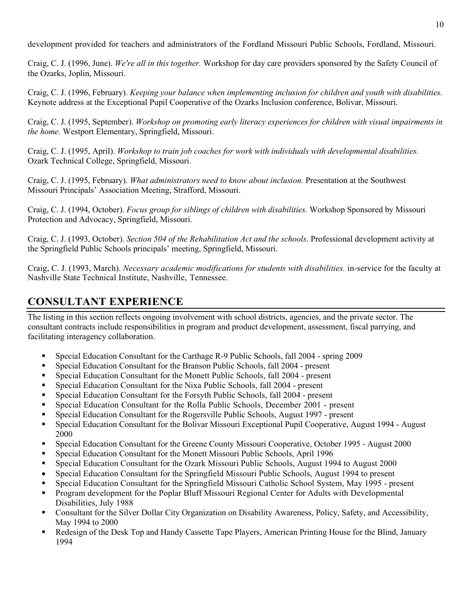development provided for teachers and administrators of the Fordland Missouri Public Schools, Fordland, Missouri.

Craig, C. J. (1996, June). *We're all in this together.* Workshop for day care providers sponsored by the Safety Council of the Ozarks, Joplin, Missouri.

Craig, C. J. (1996, February). *Keeping your balance when implementing inclusion for children and youth with disabilities.*  Keynote address at the Exceptional Pupil Cooperative of the Ozarks Inclusion conference, Bolivar, Missouri.

Craig, C. J. (1995, September). *Workshop on promoting early literacy experiences for children with visual impairments in the home.* Westport Elementary, Springfield, Missouri.

Craig, C. J. (1995, April). *Workshop to train job coaches for work with individuals with developmental disabilities.* Ozark Technical College, Springfield, Missouri.

Craig, C. J. (1995, February). *What administrators need to know about inclusion.* Presentation at the Southwest Missouri Principals' Association Meeting, Strafford, Missouri.

Craig, C. J. (1994, October). *Focus group for siblings of children with disabilities.* Workshop Sponsored by Missouri Protection and Advocacy, Springfield, Missouri.

Craig, C. J. (1993, October). *Section 504 of the Rehabilitation Act and the schools.* Professional development activity at the Springfield Public Schools principals' meeting, Springfield, Missouri.

Craig, C. J. (1993, March). *Necessary academic modifications for students with disabilities.* in-service for the faculty at Nashville State Technical Institute, Nashville, Tennessee.

## **CONSULTANT EXPERIENCE**

The listing in this section reflects ongoing involvement with school districts, agencies, and the private sector. The consultant contracts include responsibilities in program and product development, assessment, fiscal parrying, and facilitating interagency collaboration.

- Special Education Consultant for the Carthage R-9 Public Schools, fall 2004 spring 2009
- Special Education Consultant for the Branson Public Schools, fall 2004 present
- Special Education Consultant for the Monett Public Schools, fall 2004 present
- Special Education Consultant for the Nixa Public Schools, fall 2004 present
- Special Education Consultant for the Forsyth Public Schools, fall 2004 present
- Special Education Consultant for the Rolla Public Schools, December 2001 present
- Special Education Consultant for the Rogersville Public Schools, August 1997 present
- Special Education Consultant for the Bolivar Missouri Exceptional Pupil Cooperative, August 1994 August 2000
- Special Education Consultant for the Greene County Missouri Cooperative, October 1995 August 2000
- Special Education Consultant for the Monett Missouri Public Schools, April 1996
- Special Education Consultant for the Ozark Missouri Public Schools, August 1994 to August 2000
- Special Education Consultant for the Springfield Missouri Public Schools, August 1994 to present
- Special Education Consultant for the Springfield Missouri Catholic School System, May 1995 present
- Program development for the Poplar Bluff Missouri Regional Center for Adults with Developmental Disabilities, July 1988
- Consultant for the Silver Dollar City Organization on Disability Awareness, Policy, Safety, and Accessibility, May 1994 to 2000
- Redesign of the Desk Top and Handy Cassette Tape Players, American Printing House for the Blind, January 1994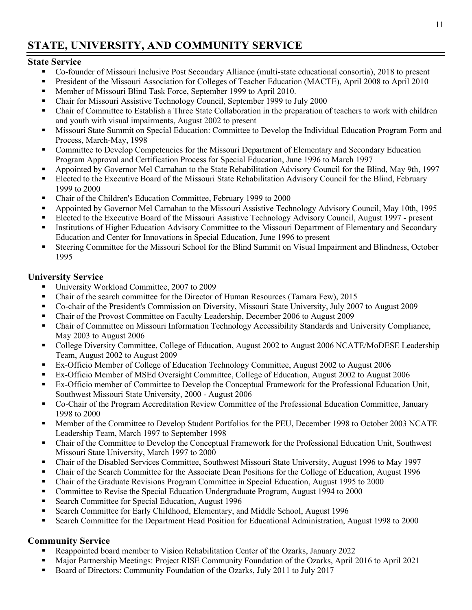# **STATE, UNIVERSITY, AND COMMUNITY SERVICE**

### **State Service**

- Co-founder of Missouri Inclusive Post Secondary Alliance (multi-state educational consortia), 2018 to present
- President of the Missouri Association for Colleges of Teacher Education (MACTE), April 2008 to April 2010
- **Member of Missouri Blind Task Force, September 1999 to April 2010.**
- Chair for Missouri Assistive Technology Council, September 1999 to July 2000
- Chair of Committee to Establish a Three State Collaboration in the preparation of teachers to work with children and youth with visual impairments, August 2002 to present
- Missouri State Summit on Special Education: Committee to Develop the Individual Education Program Form and Process, March-May, 1998
- Committee to Develop Competencies for the Missouri Department of Elementary and Secondary Education Program Approval and Certification Process for Special Education, June 1996 to March 1997
- Appointed by Governor Mel Carnahan to the State Rehabilitation Advisory Council for the Blind, May 9th, 1997
- Elected to the Executive Board of the Missouri State Rehabilitation Advisory Council for the Blind, February 1999 to 2000
- Chair of the Children's Education Committee, February 1999 to 2000
- Appointed by Governor Mel Carnahan to the Missouri Assistive Technology Advisory Council, May 10th, 1995
- Elected to the Executive Board of the Missouri Assistive Technology Advisory Council, August 1997 present
- Institutions of Higher Education Advisory Committee to the Missouri Department of Elementary and Secondary Education and Center for Innovations in Special Education, June 1996 to present
- Steering Committee for the Missouri School for the Blind Summit on Visual Impairment and Blindness, October 1995

### **University Service**

- University Workload Committee, 2007 to 2009
- Chair of the search committee for the Director of Human Resources (Tamara Few), 2015
- Co-chair of the President's Commission on Diversity, Missouri State University, July 2007 to August 2009
- Chair of the Provost Committee on Faculty Leadership, December 2006 to August 2009
- Chair of Committee on Missouri Information Technology Accessibility Standards and University Compliance, May 2003 to August 2006
- College Diversity Committee, College of Education, August 2002 to August 2006 NCATE/MoDESE Leadership Team, August 2002 to August 2009
- Ex-Officio Member of College of Education Technology Committee, August 2002 to August 2006
- Ex-Officio Member of MSEd Oversight Committee, College of Education, August 2002 to August 2006
- Ex-Officio member of Committee to Develop the Conceptual Framework for the Professional Education Unit, Southwest Missouri State University, 2000 - August 2006
- Co-Chair of the Program Accreditation Review Committee of the Professional Education Committee, January 1998 to 2000
- Member of the Committee to Develop Student Portfolios for the PEU, December 1998 to October 2003 NCATE Leadership Team, March 1997 to September 1998
- Chair of the Committee to Develop the Conceptual Framework for the Professional Education Unit, Southwest Missouri State University, March 1997 to 2000
- Chair of the Disabled Services Committee, Southwest Missouri State University, August 1996 to May 1997
- Chair of the Search Committee for the Associate Dean Positions for the College of Education, August 1996
- Chair of the Graduate Revisions Program Committee in Special Education, August 1995 to 2000
- Committee to Revise the Special Education Undergraduate Program, August 1994 to 2000
- **Search Committee for Special Education, August 1996**
- Search Committee for Early Childhood, Elementary, and Middle School, August 1996
- Search Committee for the Department Head Position for Educational Administration, August 1998 to 2000

### **Community Service**

- Reappointed board member to Vision Rehabilitation Center of the Ozarks, January 2022
- Major Partnership Meetings: Project RISE Community Foundation of the Ozarks, April 2016 to April 2021
- Board of Directors: Community Foundation of the Ozarks, July 2011 to July 2017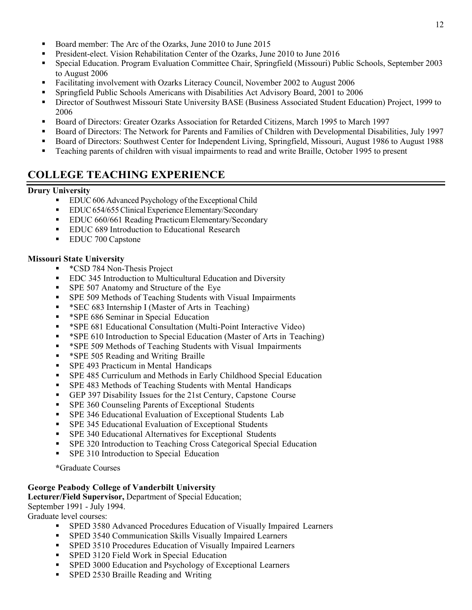- Board member: The Arc of the Ozarks, June 2010 to June 2015
- President-elect. Vision Rehabilitation Center of the Ozarks, June 2010 to June 2016
- Special Education. Program Evaluation Committee Chair, Springfield (Missouri) Public Schools, September 2003 to August 2006
- Facilitating involvement with Ozarks Literacy Council, November 2002 to August 2006
- Springfield Public Schools Americans with Disabilities Act Advisory Board, 2001 to 2006
- Director of Southwest Missouri State University BASE (Business Associated Student Education) Project, 1999 to 2006
- Board of Directors: Greater Ozarks Association for Retarded Citizens, March 1995 to March 1997
- Board of Directors: The Network for Parents and Families of Children with Developmental Disabilities, July 1997
- Board of Directors: Southwest Center for Independent Living, Springfield, Missouri, August 1986 to August 1988
- Teaching parents of children with visual impairments to read and write Braille, October 1995 to present

## **COLLEGE TEACHING EXPERIENCE**

### **Drury University**

- EDUC 606 Advanced Psychology of the Exceptional Child
- EDUC654/655Clinical Experience Elementary/Secondary
- **EDUC 660/661 Reading Practicum Elementary/Secondary**
- **EDUC 689 Introduction to Educational Research**
- **EDUC 700 Capstone**

### **Missouri State University**

- **\*CSD 784 Non-Thesis Project**
- **EDC 345 Introduction to Multicultural Education and Diversity**
- **SPE 507 Anatomy and Structure of the Eye**
- **SPE 509 Methods of Teaching Students with Visual Impairments**
- \* SEC 683 Internship I (Master of Arts in Teaching)
- \* **\*SPE 686 Seminar in Special Education**
- \*SPE 681 Educational Consultation (Multi-Point Interactive Video)
- \* \*SPE 610 Introduction to Special Education (Master of Arts in Teaching)
- \* \*SPE 509 Methods of Teaching Students with Visual Impairments
- \* **\*SPE 505 Reading and Writing Braille**
- **SPE 493 Practicum in Mental Handicaps**
- SPE 485 Curriculum and Methods in Early Childhood Special Education
- SPE 483 Methods of Teaching Students with Mental Handicaps
- GEP 397 Disability Issues for the 21st Century, Capstone Course
- **SPE 360 Counseling Parents of Exceptional Students**
- **SPE 346 Educational Evaluation of Exceptional Students Lab**
- **SPE 345 Educational Evaluation of Exceptional Students**
- **SPE 340 Educational Alternatives for Exceptional Students**
- SPE 320 Introduction to Teaching Cross Categorical Special Education
- **SPE 310 Introduction to Special Education**

**\***Graduate Courses

### **George Peabody College of Vanderbilt University**

**Lecturer/Field Supervisor,** Department of Special Education;

September 1991 - July 1994.

Graduate level courses:

- SPED 3580 Advanced Procedures Education of Visually Impaired Learners
- SPED 3540 Communication Skills Visually Impaired Learners
- **SPED 3510 Procedures Education of Visually Impaired Learners**
- **SPED 3120 Field Work in Special Education**
- SPED 3000 Education and Psychology of Exceptional Learners
- **SPED 2530 Braille Reading and Writing**